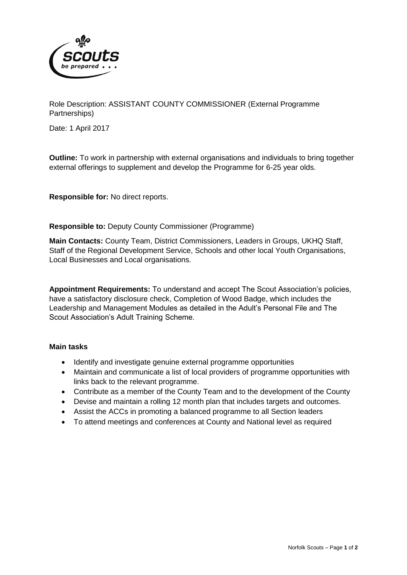

Role Description: ASSISTANT COUNTY COMMISSIONER (External Programme Partnerships)

Date: 1 April 2017

**Outline:** To work in partnership with external organisations and individuals to bring together external offerings to supplement and develop the Programme for 6-25 year olds.

**Responsible for:** No direct reports.

**Responsible to:** Deputy County Commissioner (Programme)

**Main Contacts:** County Team, District Commissioners, Leaders in Groups, UKHQ Staff, Staff of the Regional Development Service, Schools and other local Youth Organisations, Local Businesses and Local organisations.

**Appointment Requirements:** To understand and accept The Scout Association's policies, have a satisfactory disclosure check, Completion of Wood Badge, which includes the Leadership and Management Modules as detailed in the Adult's Personal File and The Scout Association's Adult Training Scheme.

#### **Main tasks**

- Identify and investigate genuine external programme opportunities
- Maintain and communicate a list of local providers of programme opportunities with links back to the relevant programme.
- Contribute as a member of the County Team and to the development of the County
- Devise and maintain a rolling 12 month plan that includes targets and outcomes.
- Assist the ACCs in promoting a balanced programme to all Section leaders
- To attend meetings and conferences at County and National level as required